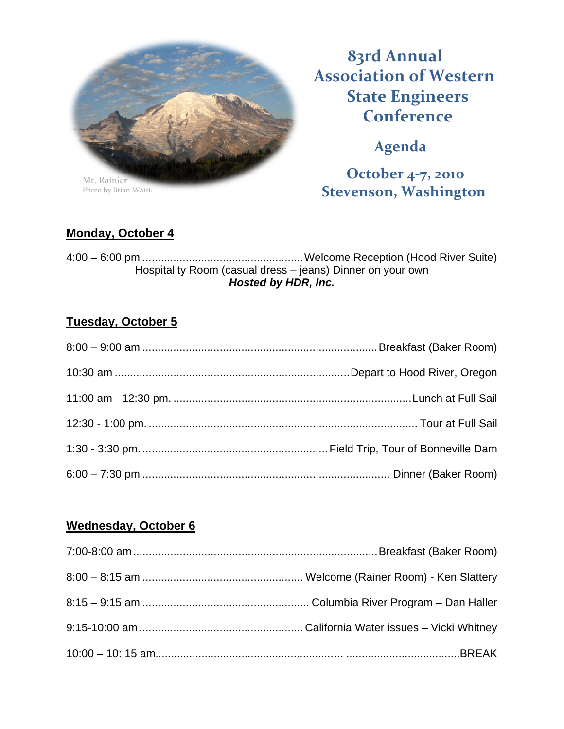

Photo by Brian Walsh

**83rd Annual Association of Western State Engineers Conference** 

**Agenda**

**October 4‐7, 2010 Stevenson, Washington**

## **Monday, October 4**

4:00 – 6:00 pm .................................................... Welcome Reception (Hood River Suite) Hospitality Room (casual dress – jeans) Dinner on your own *Hosted by HDR, Inc.* 

## **Tuesday, October 5**

## **Wednesday, October 6**